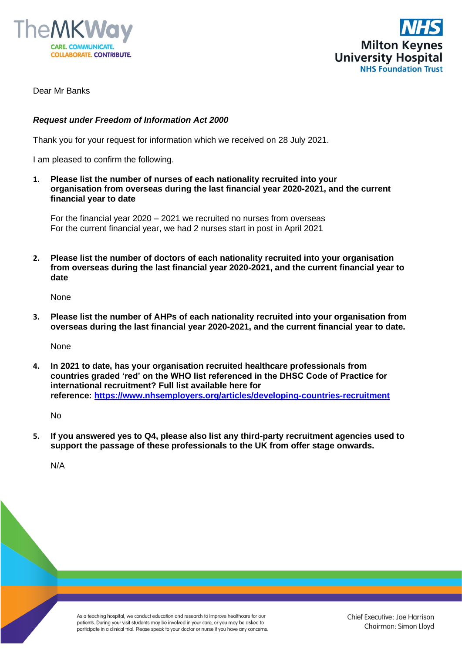



Dear Mr Banks

## *Request under Freedom of Information Act 2000*

Thank you for your request for information which we received on 28 July 2021.

I am pleased to confirm the following.

**1. Please list the number of nurses of each nationality recruited into your organisation from overseas during the last financial year 2020-2021, and the current financial year to date**

For the financial year 2020 – 2021 we recruited no nurses from overseas For the current financial year, we had 2 nurses start in post in April 2021

**2. Please list the number of doctors of each nationality recruited into your organisation from overseas during the last financial year 2020-2021, and the current financial year to date**

None

**3. Please list the number of AHPs of each nationality recruited into your organisation from overseas during the last financial year 2020-2021, and the current financial year to date.**

None

**4. In 2021 to date, has your organisation recruited healthcare professionals from countries graded 'red' on the WHO list referenced in the DHSC Code of Practice for international recruitment? Full list available here for reference: [https://www.nhsemployers.org/articles/developing-countries-recruitment](https://gbr01.safelinks.protection.outlook.com/?url=https%3A%2F%2Fwww.nhsemployers.org%2Farticles%2Fdeveloping-countries-recruitment&data=04%7C01%7CFoi.PublicationSchemeCo-ordinator%40mkuh.nhs.uk%7C73988e07a7564611387c08d9574a6069%7Ce96dd0a15d474a949e4a5c1056daa82c%7C0%7C0%7C637636799210842034%7CUnknown%7CTWFpbGZsb3d8eyJWIjoiMC4wLjAwMDAiLCJQIjoiV2luMzIiLCJBTiI6Ik1haWwiLCJXVCI6Mn0%3D%7C1000&sdata=8CDY73ya8vWGPuzqUA16QoEFerMvXTTYyS8V1rCnfow%3D&reserved=0)**

No

**5. If you answered yes to Q4, please also list any third-party recruitment agencies used to support the passage of these professionals to the UK from offer stage onwards.**

N/A

As a teaching hospital, we conduct education and research to improve healthcare for our patients. During your visit students may be involved in your care, or you may be asked to participate in a clinical trial. Please speak to your doctor or nurse if you have any concerns.